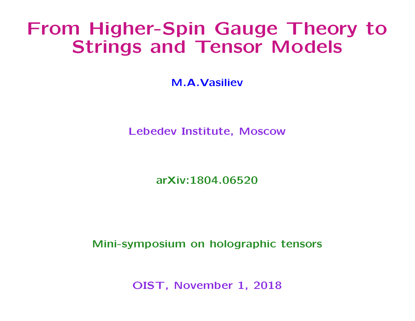# From Higher-Spin Gauge Theory to Strings and Tensor Models

M.A.Vasiliev

Lebedev Institute, Moscow

arXiv:1804.06520

Mini-symposium on holographic tensors

OIST, November 1, 2018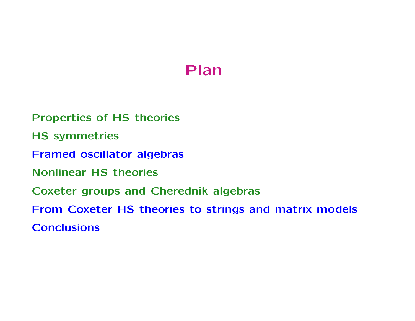## Plan

Properties of HS theories HS symmetries Framed oscillator algebras Nonlinear HS theories Coxeter groups and Cherednik algebras From Coxeter HS theories to strings and matrix models **Conclusions**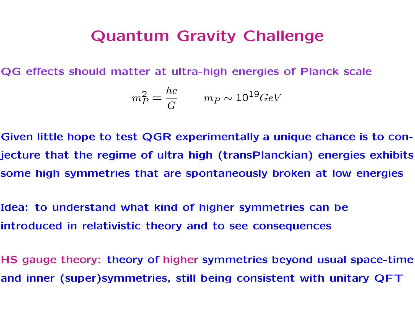### Quantum Gravity Challenge

QG effects should matter at ultra-high energies of Planck scale

$$
m_P^2 = \frac{hc}{G} \qquad m_P \sim 10^{19} GeV
$$

Given little hope to test QGR experimentally a unique chance is to conjecture that the regime of ultra high (transPlanckian) energies exhibits some high symmetries that are spontaneously broken at low energies

Idea: to understand what kind of higher symmetries can be introduced in relativistic theory and to see consequences

HS gauge theory: theory of higher symmetries beyond usual space-time and inner (super)symmetries, still being consistent with unitary QFT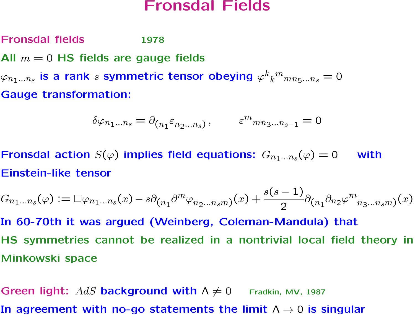#### Fronsdal Fields

Fronsdal fields 1978

All  $m = 0$  HS fields are gauge fields

 $\varphi_{n_1...n_s}$  is a rank  $s$  symmetric tensor obeying  $\varphi^k$  $\boldsymbol{k}$  $m_{mn_5...n_s}=0$ Gauge transformation:

$$
\delta\varphi_{n_1...n_s} = \partial_{(n_1} \varepsilon_{n_2...n_s)}, \qquad \varepsilon^m_{mn_3...n_{s-1}} = 0
$$

Fronsdal action  $S(\varphi)$  implies field equations:  $G_{n_1...n_s}(\varphi) = 0$  with Einstein-like tensor

$$
G_{n_1...n_s}(\varphi) := \Box \varphi_{n_1...n_s}(x) - s \partial_{(n_1} \partial^m \varphi_{n_2...n_sm})(x) + \frac{s(s-1)}{2} \partial_{(n_1} \partial_{n_2} \varphi^m_{n_3...n_sm})(x)
$$

In 60-70th it was argued (Weinberg, Coleman-Mandula) that HS symmetries cannot be realized in a nontrivial local field theory in Minkowski space

Green light: AdS background with  $\Lambda \neq 0$  Fradkin, MV, 1987 In agreement with no-go statements the limit  $\Lambda \rightarrow 0$  is singular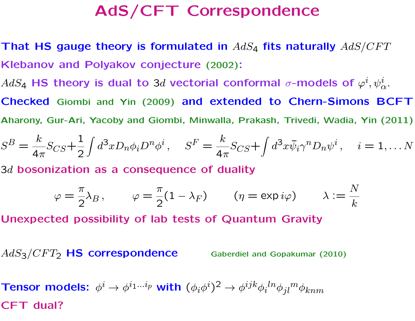## AdS/CFT Correspondence

That HS gauge theory is formulated in  $AdS_4$  fits naturally  $AdS/CFT$ Klebanov and Polyakov conjecture (2002):

 $AdS_{\bf 4}$  HS theory is dual to 3d vectorial conformal  $\sigma\text{-models}$  of  $\varphi^i, \psi^i_\alpha.$ Checked Giombi and Yin (2009) and extended to Chern-Simons BCFT

Aharony, Gur-Ari, Yacoby and Giombi, Minwalla, Prakash, Trivedi, Wadia, Yin (2011)

$$
S^B = \frac{k}{4\pi} S_{CS} + \frac{1}{2} \int d^3x D_n \phi_i D^n \phi^i, \quad S^F = \frac{k}{4\pi} S_{CS} + \int d^3x \overline{\psi}_i \gamma^n D_n \psi^i, \quad i = 1, \dots N
$$

 $3d$  bosonization as a consequence of duality

$$
\varphi = \frac{\pi}{2} \lambda_B, \qquad \varphi = \frac{\pi}{2} (1 - \lambda_F) \qquad (\eta = \exp i\varphi) \qquad \lambda := \frac{N}{k}
$$

Unexpected possibility of lab tests of Quantum Gravity

 $AdS<sub>3</sub>/CFT<sub>2</sub>$  HS correspondence Gaberdiel and Gopakumar (2010)

Tensor models:  $\phi^i \to \phi^{i_1...i_p}$  with  $(\phi_i \phi^i)^2 \to \phi^{ijk} \phi_i{}^{ln} \phi_{jl}{}^m \phi_{knm}$ CFT dual?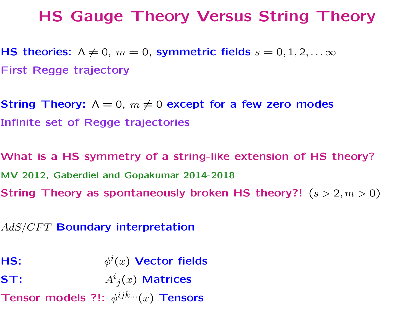## HS Gauge Theory Versus String Theory

HS theories:  $\Lambda \neq 0$ ,  $m = 0$ , symmetric fields  $s = 0, 1, 2, \ldots \infty$ First Regge trajectory

String Theory:  $\Lambda = 0$ ,  $m \neq 0$  except for a few zero modes Infinite set of Regge trajectories

What is a HS symmetry of a string-like extension of HS theory? MV 2012, Gaberdiel and Gopakumar 2014-2018 String Theory as spontaneously broken HS theory?!  $(s > 2, m > 0)$ 

AdS/CFT Boundary interpretation

HS:  $\phi^i(x)$  Vector fields

ST:  $A^{i}_{j}(x)$  Matrices

Tensor models ?!:  $\phi^{ijk...}(x)$  Tensors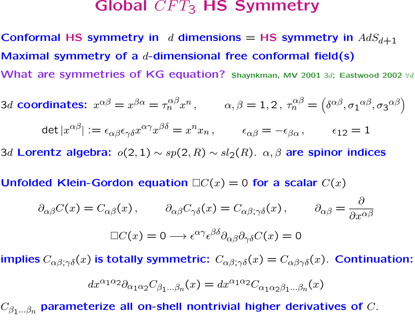### Global  $CFT_3$  HS Symmetry

Conformal HS symmetry in d dimensions = HS symmetry in  $AdS_{d+1}$ Maximal symmetry of a  $d$ -dimensional free conformal field(s) What are symmetries of KG equation? Shaynkman, MV 2001 3d; Eastwood 2002 ∀d

3d coordinates:  $x^{\alpha\beta}=x^{\beta\alpha}=\tau_n^{\alpha\beta}x^n\,,\qquad \alpha,\beta=1,2\,,\ \tau_n^{\alpha\beta}=\left(\delta^{\alpha\beta}, {\sigma_1}^{\alpha\beta}, {\sigma_3}^{\alpha\beta}\right)$ 

$$
\det |x^{\alpha\beta}| := \epsilon_{\alpha\beta}\epsilon_{\gamma\delta}x^{\alpha\gamma}x^{\beta\delta} = x^n x_n, \qquad \epsilon_{\alpha\beta} = -\epsilon_{\beta\alpha}, \qquad \epsilon_{12} = 1
$$

3d Lorentz algebra:  $o(2, 1) \sim sp(2, R) \sim sl_2(R)$ .  $\alpha, \beta$  are spinor indices

Unfolded Klein-Gordon equation  $\Box C(x) = 0$  for a scalar  $C(x)$ 

$$
\partial_{\alpha\beta}C(x) = C_{\alpha\beta}(x), \qquad \partial_{\alpha\beta}C_{\gamma\delta}(x) = C_{\alpha\beta;\gamma\delta}(x), \qquad \partial_{\alpha\beta} = \frac{\partial}{\partial x^{\alpha\beta}}
$$

$$
\Box C(x) = 0 \longrightarrow \epsilon^{\alpha\gamma}\epsilon^{\beta\delta}\partial_{\alpha\beta}\partial_{\gamma\delta}C(x) = 0
$$

implies  $C_{\alpha\beta;\gamma\delta}(x)$  is totally symmetric:  $C_{\alpha\beta;\gamma\delta}(x) = C_{\alpha\beta\gamma\delta}(x)$ . Continuation:

$$
dx^{\alpha_1\alpha_2}\partial_{\alpha_1\alpha_2}C_{\beta_1...\beta_n}(x) = dx^{\alpha_1\alpha_2}C_{\alpha_1\alpha_2\beta_1...\beta_n}(x)
$$

 $C_{\beta_1...\beta_n}$  parameterize all on-shell nontrivial higher derivatives of  $C$ .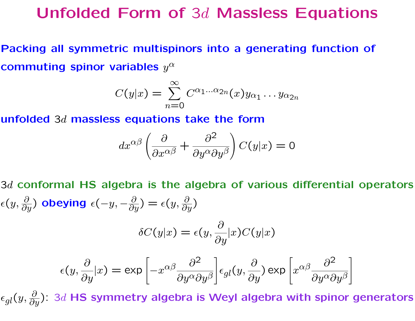### Unfolded Form of 3d Massless Equations

Packing all symmetric multispinors into a generating function of commuting spinor variables  $y^{\alpha}$ 

$$
C(y|x) = \sum_{n=0}^{\infty} C^{\alpha_1...\alpha_{2n}}(x)y_{\alpha_1}...y_{\alpha_{2n}}
$$

unfolded 3d massless equations take the form

$$
dx^{\alpha\beta} \left( \frac{\partial}{\partial x^{\alpha\beta}} + \frac{\partial^2}{\partial y^{\alpha} \partial y^{\beta}} \right) C(y|x) = 0
$$

 $3d$  conformal HS algebra is the algebra of various differential operators  $\epsilon(y,\frac{\partial}{\partial y})$  obeying  $\epsilon(-y,-\frac{\partial}{\partial y})=\epsilon(y,\frac{\partial}{\partial y})$ 

$$
\delta C(y|x) = \epsilon(y, \frac{\partial}{\partial y}|x)C(y|x)
$$

$$
\epsilon(y, \frac{\partial}{\partial y}|x) = \exp\left[-x^{\alpha\beta} \frac{\partial^2}{\partial y^{\alpha} \partial y^{\beta}}\right] \epsilon_{gl}(y, \frac{\partial}{\partial y}) \exp\left[x^{\alpha\beta} \frac{\partial^2}{\partial y^{\alpha} \partial y^{\beta}}\right]
$$

 $\epsilon_{gl}(y,\frac{\partial}{\partial y})$ : 3d HS symmetry algebra is Weyl algebra with spinor generators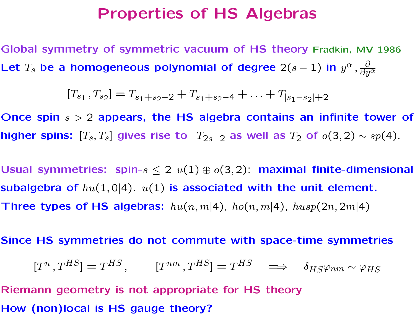#### Properties of HS Algebras

Global symmetry of symmetric vacuum of HS theory Fradkin, MV 1986 Let  $T_s$  be a homogeneous polynomial of degree  $2(s-1)$  in  $y^{\alpha}, \frac{\partial}{\partial y}$  $\overline{\partial y^\alpha}$ 

$$
[T_{s_1}, T_{s_2}] = T_{s_1 + s_2 - 2} + T_{s_1 + s_2 - 4} + \ldots + T_{|s_1 - s_2| + 2}
$$

Once spin  $s > 2$  appears, the HS algebra contains an infinite tower of higher spins:  $[T_s, T_s]$  gives rise to  $T_{2s-2}$  as well as  $T_2$  of  $o(3, 2) \sim sp(4)$ .

Usual symmetries: spin- $s \leq 2$   $u(1) \oplus o(3, 2)$ : maximal finite-dimensional subalgebra of  $hu(1, 0|4)$ .  $u(1)$  is associated with the unit element. Three types of HS algebras:  $hu(n, m|4)$ ,  $ho(n, m|4)$ ,  $husp(2n, 2m|4)$ 

Since HS symmetries do not commute with space-time symmetries

$$
[T^n, T^{HS}] = T^{HS}, \qquad [T^{nm}, T^{HS}] = T^{HS} \implies \delta_{HS} \varphi_{nm} \sim \varphi_{HS}
$$

Riemann geometry is not appropriate for HS theory How (non)local is HS gauge theory?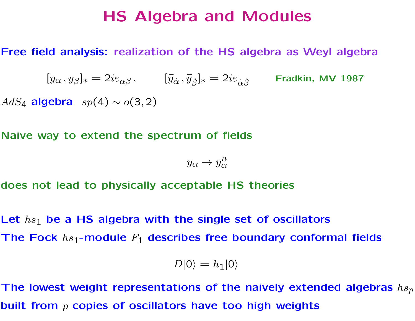### HS Algebra and Modules

#### Free field analysis: realization of the HS algebra as Weyl algebra

 $[y_\alpha\,,y_\beta]_\ast=2i\varepsilon_{\alpha\beta}\,,\qquad [\bar y_{\dot\alpha}\,,\bar y_{\dot\beta}]_\ast=2i\varepsilon_{\dot\alpha\dot\beta}\qquad \text{Fradkin, MV 1987}$ AdS<sub>4</sub> algebra  $sp(4) \sim o(3, 2)$ 

Naive way to extend the spectrum of fields

$$
y_{\alpha} \to y_{\alpha}^n
$$

does not lead to physically acceptable HS theories

Let  $hs_1$  be a HS algebra with the single set of oscillators The Fock  $hs_1$ -module  $F_1$  describes free boundary conformal fields

$$
D|0\rangle = h_1|0\rangle
$$

The lowest weight representations of the naively extended algebras  $h s_p$ built from  $p$  copies of oscillators have too high weights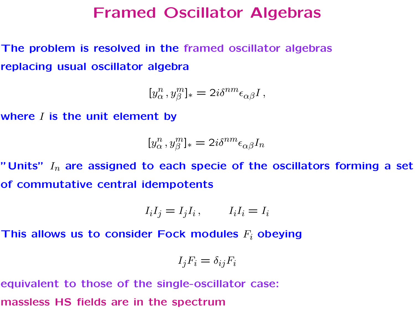### Framed Oscillator Algebras

The problem is resolved in the framed oscillator algebras replacing usual oscillator algebra

$$
[y_\alpha^n, y_\beta^m]_* = 2i\delta^{nm}\epsilon_{\alpha\beta}I,
$$

where  $I$  is the unit element by

$$
[y_\alpha^n, y_\beta^m]_* = 2i\delta^{nm}\epsilon_{\alpha\beta}I_n
$$

"Units"  $I_n$  are assigned to each specie of the oscillators forming a set of commutative central idempotents

$$
I_i I_j = I_j I_i, \qquad I_i I_i = I_i
$$

This allows us to consider Fock modules  $F_i$  obeying

$$
I_j F_i = \delta_{ij} F_i
$$

equivalent to those of the single-oscillator case:

massless HS fields are in the spectrum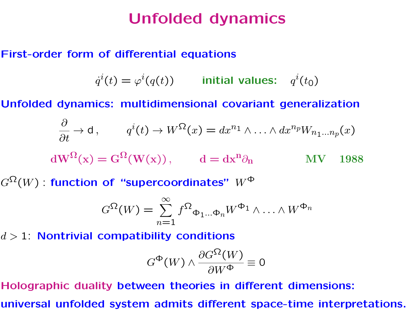## Unfolded dynamics

#### First-order form of differential equations

$$
\dot{q}^i(t) = \varphi^i(q(t)) \qquad \text{initial values:} \quad q^i(t_0)
$$

Unfolded dynamics: multidimensional covariant generalization

$$
\frac{\partial}{\partial t} \to d, \qquad q^{i}(t) \to W^{\Omega}(x) = dx^{n_1} \wedge \ldots \wedge dx^{n_p} W_{n_1 \ldots n_p}(x)
$$
  

$$
dW^{\Omega}(x) = G^{\Omega}(W(x)), \qquad d = dx^{n_1} \partial_n \qquad MV \quad 1988
$$

 $G^{\Omega}(W)$  : function of "supercoordinates"  $W^{\Phi}$ 

$$
G^{\Omega}(W) = \sum_{n=1}^{\infty} f^{\Omega} \Phi_{1\cdots}\Phi_n W^{\Phi_1} \wedge \cdots \wedge W^{\Phi_n}
$$

 $d > 1$ : Nontrivial compatibility conditions

$$
G^{\Phi}(W) \wedge \frac{\partial G^{\Omega}(W)}{\partial W^{\Phi}} \equiv 0
$$

Holographic duality between theories in different dimensions: universal unfolded system admits different space-time interpretations.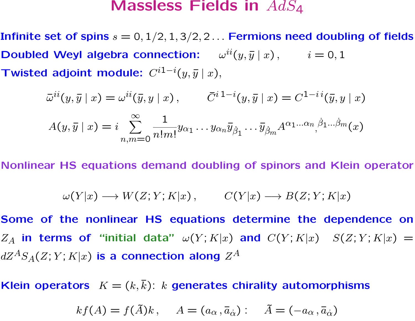#### Massless Fields in  $AdS_4$

Infinite set of spins  $s = 0, 1/2, 1, 3/2, 2...$  Fermions need doubling of fields Doubled Weyl algebra connection:  $\omega^{ii}(y, \bar{y} | x)$ ,  $i = 0, 1$ Twisted adjoint module:  $C^{i1-i}(y, \bar{y} | x)$ ,

$$
\bar{\omega}^{ii}(y,\bar{y} \mid x) = \omega^{ii}(\bar{y},y \mid x), \qquad \bar{C}^{i\,1-i}(y,\bar{y} \mid x) = C^{1-i\,i}(\bar{y},y \mid x)
$$

$$
A(y,\bar{y} \mid x) = i \sum_{n,m=0}^{\infty} \frac{1}{n!m!} y_{\alpha_1} \dots y_{\alpha_n} \bar{y}_{\beta_1} \dots \bar{y}_{\beta_m} A^{\alpha_1 \dots \alpha_n} \beta_1 \dots \beta_m(x)
$$

Nonlinear HS equations demand doubling of spinors and Klein operator

$$
\omega(Y|x) \longrightarrow W(Z;Y;K|x) , \qquad C(Y|x) \longrightarrow B(Z;Y;K|x)
$$

Some of the nonlinear HS equations determine the dependence on  $Z_A$  in terms of "initial data"  $\omega(Y;K|x)$  and  $C(Y;K|x)$   $S(Z;Y;K|x) =$  $dZ^AS_A(Z;Y;K|x)$  is a connection along  $Z^A$ 

Klein operators  $K = (k, \bar{k})$ : k generates chirality automorphisms

$$
kf(A) = f(\tilde{A})k, \quad A = (a_{\alpha}, \bar{a}_{\dot{\alpha}}): \quad \tilde{A} = (-a_{\alpha}, \bar{a}_{\dot{\alpha}})
$$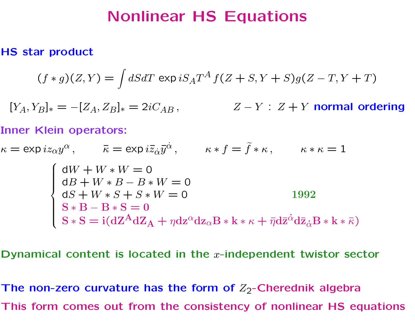## Nonlinear HS Equations

#### HS star product

$$
(f * g)(Z, Y) = \int dS dT \exp iS_A T^A f(Z + S, Y + S)g(Z - T, Y + T)
$$

 $[Y_A, Y_B]_* = -[Z_A, Z_B]_* = 2iC_{AB}$ ,  $Z - Y : Z + Y$  normal ordering

#### Inner Klein operators:

 $\kappa = \exp iz_{\alpha}y^{\alpha}, \qquad \bar{\kappa} = \exp i\bar{z}_{\dot{\alpha}}\bar{y}^{\dot{\alpha}}, \qquad \kappa * f = \tilde{f} * \kappa, \qquad \kappa * \kappa = 1$  $\int$  $\int$  $\begin{array}{c} \end{array}$  $dW + W * W = 0$  $dB + W * B - B * W = 0$  $dS + W * S + S * W = 0$  1992  $S * B - B * S = 0$  $\mathbf{S} * \mathbf{S} = \mathbf{i} (\mathrm{d}\mathrm{Z}^\mathrm{A} \mathrm{d} \mathrm{Z}_\mathrm{A} + \eta \mathrm{d} \mathrm{z}^\alpha \mathrm{d} \mathrm{z}_\alpha \mathrm{B} * \mathrm{k} * \kappa + \bar{\eta} \mathrm{d} \bar{\mathrm{z}} \dot{\alpha} \mathrm{d} \bar{\mathrm{z}}_{\dot{\alpha}} \mathrm{B} * \mathrm{k} * \bar{\kappa})$ 

Dynamical content is located in the  $x$ -independent twistor sector

The non-zero curvature has the form of  $Z_2$ -Cherednik algebra This form comes out from the consistency of nonlinear HS equations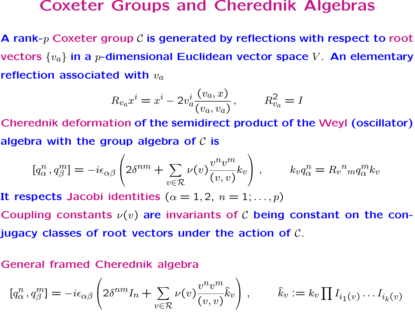#### Coxeter Groups and Cherednik Algebras

A rank- $p$  Coxeter group  $C$  is generated by reflections with respect to root vectors  $\{v_a\}$  in a p-dimensional Euclidean vector space V. An elementary reflection associated with  $v_a$ 

$$
R_{v_a} x^i = x^i - 2v_a^i \frac{(v_a, x)}{(v_a, v_a)}, \qquad R_{v_a}^2 = I
$$

Cherednik deformation of the semidirect product of the Weyl (oscillator) algebra with the group algebra of  $C$  is

$$
[q_\alpha^n, q_\beta^m] = -i\epsilon_{\alpha\beta} \left( 2\delta^{nm} + \sum_{v \in \mathcal{R}} \nu(v) \frac{v^n v^m}{(v, v)} k_v \right), \qquad k_v q_\alpha^n = R_v{}^n{}_m q_\alpha^m k_v
$$

It respects Jacobi identities  $(\alpha = 1, 2, n = 1; \ldots, p)$ 

Coupling constants  $\nu(v)$  are invariants of C being constant on the conjugacy classes of root vectors under the action of  $\mathcal C$ .

#### General framed Cherednik algebra

$$
[q_{\alpha}^n, q_{\beta}^m] = -i\epsilon_{\alpha\beta} \left( 2\delta^{nm} I_n + \sum_{v \in \mathcal{R}} \nu(v) \frac{v^n v^m}{(v, v)} \hat{k}_v \right), \qquad \hat{k}_v := k_v \prod I_{i_1(v)} \dots I_{i_k(v)}
$$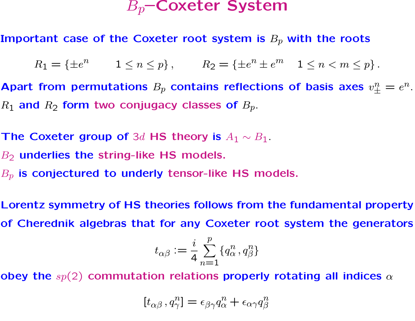### $B_p$ –Coxeter System

Important case of the Coxeter root system is  $B_p$  with the roots

 $R_1 = {\pm e^n \qquad 1 \le n \le p}, \qquad R_2 = {\pm e^n \pm e^m \quad 1 \le n < m \le p}.$ 

Apart from permutations  $B_p$  contains reflections of basis axes  $v^n_{\pm}=e^n$ .  $R_1$  and  $R_2$  form two conjugacy classes of  $B_p$ .

The Coxeter group of 3d HS theory is  $A_1 \sim B_1$ .

 $B_2$  underlies the string-like HS models.

 $B_p$  is conjectured to underly tensor-like HS models.

Lorentz symmetry of HS theories follows from the fundamental property of Cherednik algebras that for any Coxeter root system the generators

$$
t_{\alpha\beta} := \frac{i}{4}\sum_{n=1}^p \{q_\alpha^n, q_\beta^n\}
$$

obey the  $sp(2)$  commutation relations properly rotating all indices  $\alpha$ 

$$
[t_{\alpha\beta}, q^n_\gamma] = \epsilon_{\beta\gamma} q^n_\alpha + \epsilon_{\alpha\gamma} q^n_\beta
$$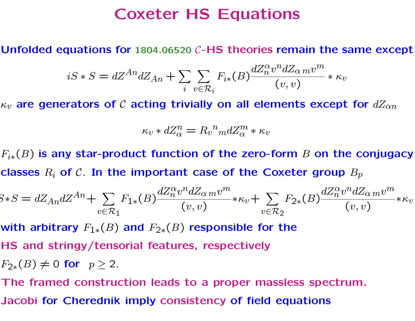## Coxeter HS Equations

Unfolded equations for 1804.06520 C-HS theories remain the same except

$$
iS * S = dZ^{An} dZ_{An} + \sum_{i} \sum_{v \in \mathcal{R}_i} F_{i*}(B) \frac{dZ_n^{\alpha} v^n dZ_{\alpha m} v^m}{(v, v)} * \kappa_v
$$

 $\kappa_v$  are generators of C acting trivially on all elements except for  $dZ_{\alpha n}$ 

$$
\kappa_v * dZ_{\alpha}^n = R_v^{\ n} m dZ_{\alpha}^m * \kappa_v
$$

 $F_{i*}(B)$  is any star-product function of the zero-form B on the conjugacy classes  $R_i$  of  $\mathcal C$ . In the important case of the Coxeter group  $B_p$ 

$$
S*S = dZ_{An}dZ^{An} + \sum_{v \in \mathcal{R}_1} F_{1*}(B) \frac{dZ_n^{\alpha} v^n dZ_{\alpha m} v^m}{(v, v)} * \kappa_v + \sum_{v \in \mathcal{R}_2} F_{2*}(B) \frac{dZ_n^{\alpha} v^n dZ_{\alpha m} v^m}{(v, v)} * \kappa_v
$$

with arbitrary  $F_{1*}(B)$  and  $F_{2*}(B)$  responsible for the

HS and stringy/tensorial features, respectively

 $F_{2*}(B) \neq 0$  for  $p \geq 2$ .

The framed construction leads to a proper massless spectrum.

Jacobi for Cherednik imply consistency of field equations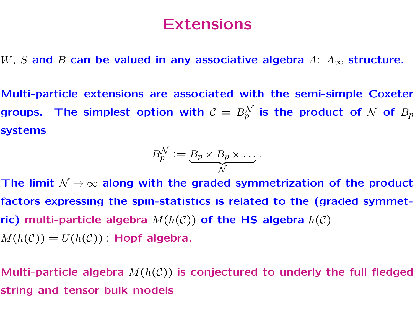## Extensions

W, S and B can be valued in any associative algebra  $A: A_\infty$  structure.

Multi-particle extensions are associated with the semi-simple Coxeter groups. The simplest option with  $\mathcal{C} \, = \, B^\mathcal{N}_p$  is the product of  $\mathcal N$  of  $B_p$ systems

$$
B_p^{\mathcal{N}} := \underbrace{B_p \times B_p \times \ldots}_{\mathcal{N}}.
$$

The limit  $\mathcal{N} \rightarrow \infty$  along with the graded symmetrization of the product factors expressing the spin-statistics is related to the (graded symmetric) multi-particle algebra  $M(h(\mathcal{C}))$  of the HS algebra  $h(\mathcal{C})$  $M(h(\mathcal{C})) = U(h(\mathcal{C}))$  Hopf algebra.

Multi-particle algebra  $M(h(\mathcal{C}))$  is conjectured to underly the full fledged string and tensor bulk models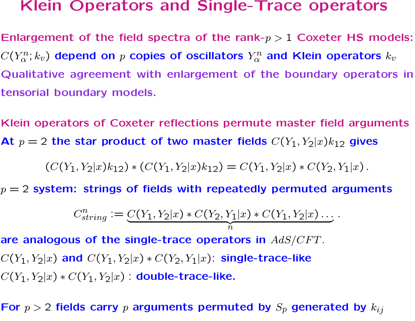#### Klein Operators and Single-Trace operators

Enlargement of the field spectra of the rank- $p > 1$  Coxeter HS models:  $C(Y_\alpha^n; k_v)$  depend on  $p$  copies of oscillators  $Y_\alpha^n$  and Klein operators  $k_v$ Qualitative agreement with enlargement of the boundary operators in tensorial boundary models.

Klein operators of Coxeter reflections permute master field arguments At  $p = 2$  the star product of two master fields  $C(Y_1, Y_2|x)k_{12}$  gives

$$
(C(Y_1, Y_2|x)k_{12}) * (C(Y_1, Y_2|x)k_{12}) = C(Y_1, Y_2|x) * C(Y_2, Y_1|x).
$$

 $p = 2$  system: strings of fields with repeatedly permuted arguments

$$
C_{string}^{n} := \underbrace{C(Y_1, Y_2 | x) * C(Y_2, Y_1 | x) * C(Y_1, Y_2 | x) \dots}_{n}.
$$

are analogous of the single-trace operators in  $AdS/CFT$ .  $C(Y_1, Y_2|x)$  and  $C(Y_1, Y_2|x) * C(Y_2, Y_1|x)$ : single-trace-like  $C(Y_1, Y_2|x) * C(Y_1, Y_2|x)$  : double-trace-like.

For  $p > 2$  fields carry p arguments permuted by  $S_p$  generated by  $k_{ij}$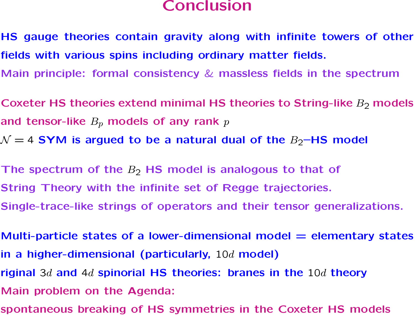#### Conclusion

- HS gauge theories contain gravity along with infinite towers of other fields with various spins including ordinary matter fields.
- Main principle: formal consistency & massless fields in the spectrum
- Coxeter HS theories extend minimal HS theories to String-like  $B_2$  models and tensor-like  $B_p$  models of any rank  $p$
- $\mathcal{N} = 4$  SYM is argued to be a natural dual of the  $B_2$ –HS model
- The spectrum of the  $B_2$  HS model is analogous to that of String Theory with the infinite set of Regge trajectories. Single-trace-like strings of operators and their tensor generalizations.
- Multi-particle states of a lower-dimensional model  $=$  elementary states in a higher-dimensional (particularly,  $10d$  model)
- riginal 3d and 4d spinorial HS theories: branes in the  $10d$  theory
- Main problem on the Agenda:
- spontaneous breaking of HS symmetries in the Coxeter HS models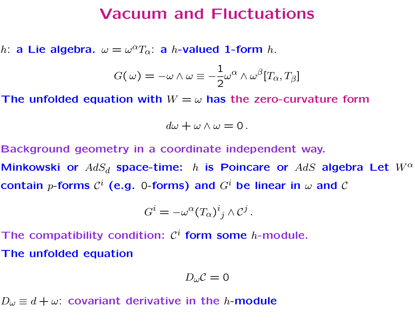### Vacuum and Fluctuations

h: a Lie algebra.  $\omega = \omega^{\alpha} T_{\alpha}$ : a h-valued 1-form h.

$$
G(\,\omega)=-\omega\wedge\omega\equiv-\frac{1}{2}\omega^\alpha\wedge\omega^\beta[T_\alpha,T_\beta]
$$

The unfolded equation with  $W = \omega$  has the zero-curvature form

$$
d\omega + \omega \wedge \omega = 0.
$$

Background geometry in a coordinate independent way.

Minkowski or  $AdS_d$  space-time: h is Poincare or  $AdS$  algebra Let  $W^{\alpha}$ contain  $p$ -forms  $\mathcal{C}^i$  (e.g. 0-forms) and  $G^i$  be linear in  $\omega$  and  $\mathcal C$ 

.

$$
G^i = -\omega^\alpha (T_\alpha)^i{}_j \wedge \mathcal{C}^j
$$

The compatibility condition:  $\mathcal{C}^i$  form some *h*-module. The unfolded equation

$$
D_{\omega}\mathcal{C}=0
$$

 $D_{\omega} \equiv d + \omega$ : covariant derivative in the *h*-module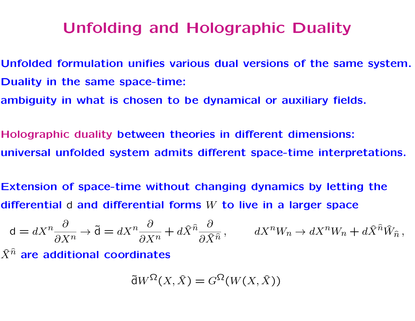## Unfolding and Holographic Duality

- Unfolded formulation unifies various dual versions of the same system. Duality in the same space-time:
- ambiguity in what is chosen to be dynamical or auxiliary fields.
- Holographic duality between theories in different dimensions: universal unfolded system admits different space-time interpretations.
- Extension of space-time without changing dynamics by letting the differential  $d$  and differential forms  $W$  to live in a larger space

$$
d = dX^{n} \frac{\partial}{\partial X^{n}} \to \tilde{d} = dX^{n} \frac{\partial}{\partial X^{n}} + d\hat{X}^{\hat{n}} \frac{\partial}{\partial \hat{X}^{\hat{n}}}, \qquad dX^{n}W_{n} \to dX^{n}W_{n} + d\hat{X}^{\hat{n}}\hat{W}_{\hat{n}},
$$

 $\widehat{X}^{\widehat{n}}$  are additional coordinates

$$
\tilde{\mathsf{d}}W^{\Omega}(X,\hat{X}) = G^{\Omega}(W(X,\hat{X}))
$$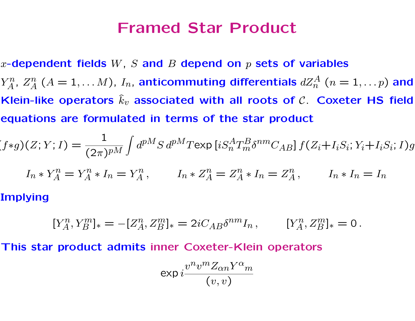### Framed Star Product

x-dependent fields  $W, S$  and  $B$  depend on  $p$  sets of variables  $Y_A^n$  $Z_A^n$ ,  $Z_A^n$   $(A=1,\ldots M)$ ,  $I_n$ , anticommuting differentials  $dZ_n^A$   $(n=1,\ldots p)$  and Klein-like operators  $\hat{k}_v$  associated with all roots of  $\mathcal{C}$ . Coxeter HS field equations are formulated in terms of the star product

$$
(f*g)(Z;Y;I) = \frac{1}{(2\pi)^{pM}} \int d^{pM}S \, d^{pM}T \exp\left[iS_n^A T_m^B \delta^{nm} C_{AB}\right] f(Z_i+I_iS_i; Y_i+I_iS_i; I)g
$$

$$
I_n * Y_A^n = Y_A^n * I_n = Y_A^n, \qquad I_n * Z_A^n = Z_A^n * I_n = Z_A^n, \qquad I_n * I_n = I_n
$$
**Implying**

 $[Y_A^n, Y_B^m]_* = -[Z_A^n, Z_B^m]_* = 2iC_{AB}\delta^{nm}I_n, \qquad [Y_A^n, Z_B^m]_* = 0.$ 

This star product admits inner Coxeter-Klein operators

$$
\exp{i\frac{v^nv^mZ_{\alpha n}Y^{\alpha}m}{(v,v)}}
$$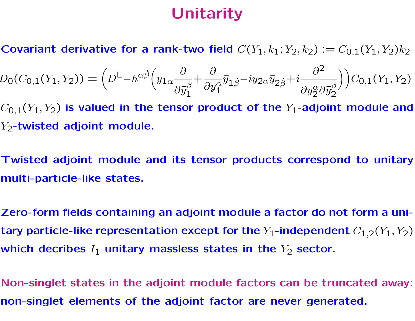## **Unitarity**

Covariant derivative for a rank-two field  $C(Y_1, k_1; Y_2, k_2) := C_{0,1}(Y_1, Y_2)k_2$ 

$$
D_0(C_{0,1}(Y_1, Y_2)) = \left(D^{\mathsf{L}} - h^{\alpha\dot{\beta}} \left(y_{1\alpha} \frac{\partial}{\partial \bar{y}_1^{\dot{\beta}}} + \frac{\partial}{\partial y_1^{\alpha}} \bar{y}_{1\dot{\beta}} - iy_{2\alpha} \bar{y}_{2\dot{\beta}} + i \frac{\partial^2}{\partial y_2^{\alpha} \partial \bar{y}_2^{\dot{\beta}}}\right)\right) C_{0,1}(Y_1, Y_2)
$$

 $C_{0,1}(Y_1, Y_2)$  is valued in the tensor product of the  $Y_1$ -adjoint module and Y<sub>2</sub>-twisted adjoint module.

Twisted adjoint module and its tensor products correspond to unitary multi-particle-like states.

Zero-form fields containing an adjoint module a factor do not form a unitary particle-like representation except for the  $Y_1$ -independent  $C_{1,2}(Y_1, Y_2)$ which decribes  $I_1$  unitary massless states in the  $Y_2$  sector.

Non-singlet states in the adjoint module factors can be truncated away: non-singlet elements of the adjoint factor are never generated.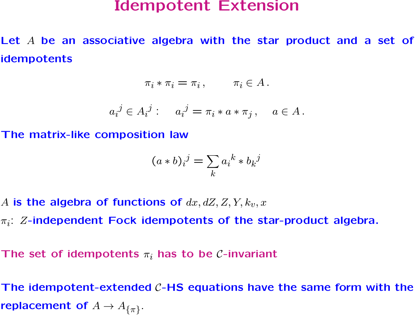#### Idempotent Extension

Let A be an associative algebra with the star product and a set of idempotents

$$
\pi_i * \pi_i = \pi_i, \qquad \pi_i \in A.
$$

$$
a_i^j \in A_i^j: \quad a_i^j = \pi_i * a * \pi_j, \quad a \in A \, .
$$

The matrix-like composition law

$$
(a * b)_i^j = \sum_k a_i^k * b_k^j
$$

A is the algebra of functions of  $dx, dZ, Z, Y, k_y, x$ 

 $\pi_i$ : Z-independent Fock idempotents of the star-product algebra.

The set of idempotents  $\pi_i$  has to be *C*-invariant

The idempotent-extended  $C$ -HS equations have the same form with the replacement of  $A \to A_{\{\pi\}}$ .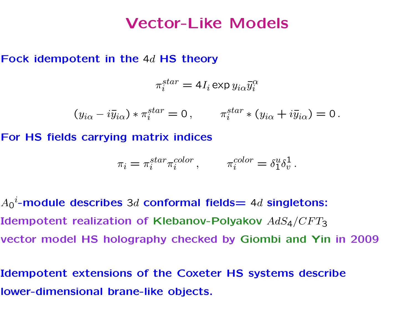### Vector-Like Models

#### Fock idempotent in the 4d HS theory

$$
\pi_i^{star} = 4 I_i \exp y_{i\alpha} \bar{y}_i^{\alpha}
$$

 $(y_{i\alpha} - i\bar{y}_{i\alpha}) * \pi_i^{star} = 0$ ,  $\pi_i^{star} * (y_{i\alpha} + i\bar{y}_{i\alpha}) = 0$ .

For HS fields carrying matrix indices

$$
\pi_i = \pi_i^{star} \pi_i^{color}, \qquad \pi_i^{color} = \delta_1^u \delta_v^1.
$$

 ${A_0}^i$ -module describes 3d conformal fields $= \,4d$  singletons: Idempotent realization of Klebanov-Polyakov  $AdS_4/CFT_3$ vector model HS holography checked by Giombi and Yin in 2009

Idempotent extensions of the Coxeter HS systems describe lower-dimensional brane-like objects.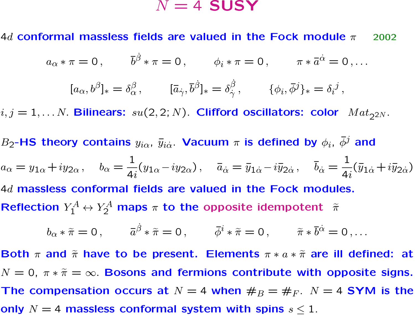#### $N = 4$  SUSY

4d conformal massless fields are valued in the Fock module  $\pi$  2002

$$
a_{\alpha} * \pi = 0, \qquad \bar{b}^{\dot{\beta}} * \pi = 0, \qquad \phi_i * \pi = 0, \qquad \pi * \bar{a}^{\dot{\alpha}} = 0, \ldots
$$

$$
[a_{\alpha}, b^{\beta}]_{*} = \delta_{\alpha}^{\beta}, \qquad [\bar{a}_{\dot{\gamma}}, \bar{b}^{\dot{\beta}}]_{*} = \delta_{\dot{\gamma}}^{\dot{\beta}}, \qquad \{\phi_{i}, \bar{\phi}^{j}\}_{*} = \delta_{i}^{j},
$$

 $i, j = 1, \ldots N$ . Bilinears:  $su(2, 2; N)$ . Clifford oscillators: color  $Mat_{2^{2}N}$ .

 $B_2$ -HS theory contains  $y_{i\alpha}$ ,  $\bar y_{i\dot\alpha}$ . Vacuum  $\pi$  is defined by  $\phi_i$ ,  $\bar\phi^j$  and

$$
a_{\alpha} = y_{1\alpha} + iy_{2\alpha}, \quad b_{\alpha} = \frac{1}{4i}(y_{1\alpha} - iy_{2\alpha}), \quad \bar{a}_{\dot{\alpha}} = \bar{y}_{1\dot{\alpha}} - i\bar{y}_{2\dot{\alpha}}, \quad \bar{b}_{\dot{\alpha}} = \frac{1}{4i}(\bar{y}_{1\dot{\alpha}} + i\bar{y}_{2\dot{\alpha}})
$$

4d massless conformal fields are valued in the Fock modules. Reflection  $Y_1^A \leftrightarrow Y_2^A$  maps  $\pi$  to the opposite idempotent  $\tilde{\pi}$ 

$$
b_{\alpha} * \tilde{\pi} = 0, \qquad \bar{a}^{\dot{\beta}} * \tilde{\pi} = 0, \qquad \bar{\phi}^i * \tilde{\pi} = 0, \qquad \tilde{\pi} * \bar{b}^{\dot{\alpha}} = 0, \ldots
$$

Both  $\pi$  and  $\tilde{\pi}$  have to be present. Elements  $\pi * a * \tilde{\pi}$  are ill defined: at  $N = 0$ ,  $\pi * \tilde{\pi} = \infty$ . Bosons and fermions contribute with opposite signs. The compensation occurs at  $N = 4$  when  $\#_B = \#_F$ .  $N = 4$  SYM is the only  $N = 4$  massless conformal system with spins  $s \leq 1$ .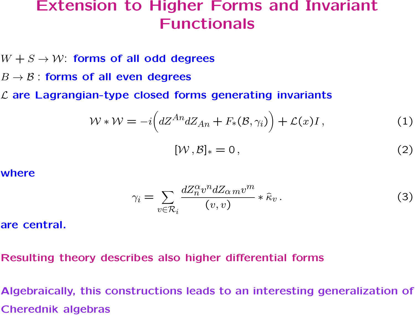## Extension to Higher Forms and Invariant Functionals

- $W + S \rightarrow W$ : forms of all odd degrees
- $B \rightarrow \mathcal{B}$ : forms of all even degrees
- $L$  are Lagrangian-type closed forms generating invariants

$$
\mathcal{W} * \mathcal{W} = -i \Big( dZ^{An} dZ_{An} + F_*(\mathcal{B}, \gamma_i) \Big) + \mathcal{L}(x)I \,, \tag{1}
$$

$$
[\mathcal{W}, \mathcal{B}]_* = 0, \qquad (2)
$$

#### where

$$
\gamma_i = \sum_{v \in \mathcal{R}_i} \frac{dZ_n^{\alpha} v^n dZ_{\alpha m} v^m}{(v, v)} * \hat{\kappa}_v. \tag{3}
$$

are central.

#### Resulting theory describes also higher differential forms

Algebraically, this constructions leads to an interesting generalization of Cherednik algebras